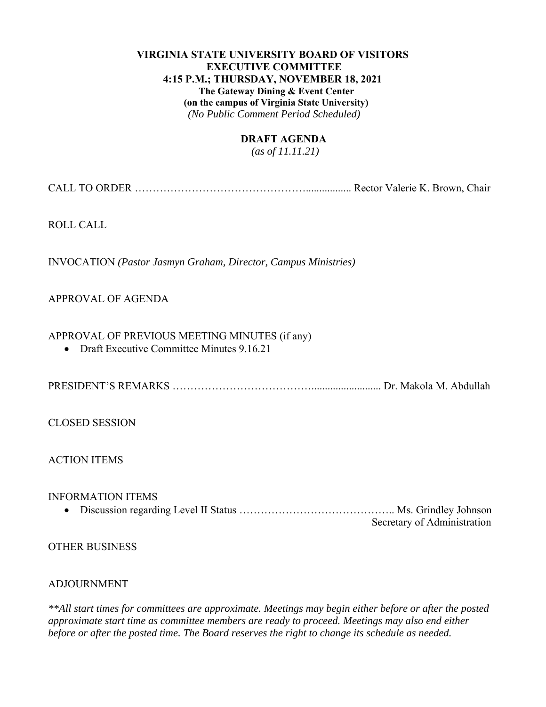# **VIRGINIA STATE UNIVERSITY BOARD OF VISITORS EXECUTIVE COMMITTEE 4:15 P.M.; THURSDAY, NOVEMBER 18, 2021 The Gateway Dining & Event Center (on the campus of Virginia State University)**  *(No Public Comment Period Scheduled)*

## **DRAFT AGENDA**

 *(as of 11.11.21)* 

CALL TO ORDER …………………………………………................. Rector Valerie K. Brown, Chair

ROLL CALL

INVOCATION *(Pastor Jasmyn Graham, Director, Campus Ministries)*

## APPROVAL OF AGENDA

## APPROVAL OF PREVIOUS MEETING MINUTES (if any)

• Draft Executive Committee Minutes 9.16.21

PRESIDENT'S REMARKS ………………………………….......................... Dr. Makola M. Abdullah

CLOSED SESSION

ACTION ITEMS

## INFORMATION ITEMS

 Discussion regarding Level II Status …………………………………….. Ms. Grindley Johnson Secretary of Administration

OTHER BUSINESS

#### ADJOURNMENT

*\*\*All start times for committees are approximate. Meetings may begin either before or after the posted approximate start time as committee members are ready to proceed. Meetings may also end either before or after the posted time. The Board reserves the right to change its schedule as needed.*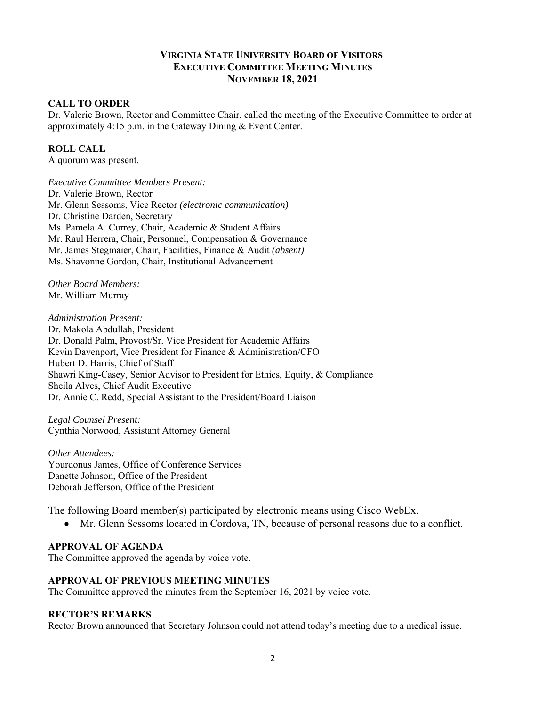# **VIRGINIA STATE UNIVERSITY BOARD OF VISITORS EXECUTIVE COMMITTEE MEETING MINUTES NOVEMBER 18, 2021**

## **CALL TO ORDER**

Dr. Valerie Brown, Rector and Committee Chair, called the meeting of the Executive Committee to order at approximately 4:15 p.m. in the Gateway Dining & Event Center.

### **ROLL CALL**

A quorum was present.

*Executive Committee Members Present:*  Dr. Valerie Brown, Rector Mr. Glenn Sessoms, Vice Rector *(electronic communication)*  Dr. Christine Darden, Secretary Ms. Pamela A. Currey, Chair, Academic & Student Affairs Mr. Raul Herrera, Chair, Personnel, Compensation & Governance Mr. James Stegmaier, Chair, Facilities, Finance & Audit *(absent)* Ms. Shavonne Gordon, Chair, Institutional Advancement

*Other Board Members:*  Mr. William Murray

#### *Administration Present:*

Dr. Makola Abdullah, President Dr. Donald Palm, Provost/Sr. Vice President for Academic Affairs Kevin Davenport, Vice President for Finance & Administration/CFO Hubert D. Harris, Chief of Staff Shawri King-Casey, Senior Advisor to President for Ethics, Equity, & Compliance Sheila Alves, Chief Audit Executive Dr. Annie C. Redd, Special Assistant to the President/Board Liaison

*Legal Counsel Present:*  Cynthia Norwood, Assistant Attorney General

*Other Attendees:*  Yourdonus James, Office of Conference Services Danette Johnson, Office of the President Deborah Jefferson, Office of the President

The following Board member(s) participated by electronic means using Cisco WebEx.

Mr. Glenn Sessoms located in Cordova, TN, because of personal reasons due to a conflict.

#### **APPROVAL OF AGENDA**

The Committee approved the agenda by voice vote.

#### **APPROVAL OF PREVIOUS MEETING MINUTES**

The Committee approved the minutes from the September 16, 2021 by voice vote.

#### **RECTOR'S REMARKS**

Rector Brown announced that Secretary Johnson could not attend today's meeting due to a medical issue.